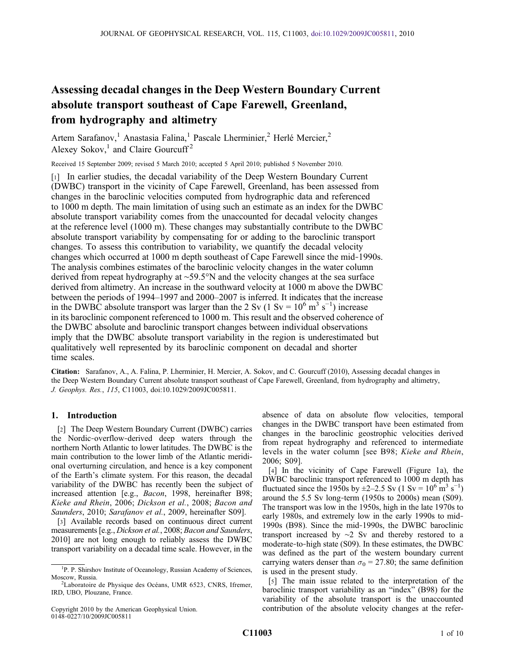# Assessing decadal changes in the Deep Western Boundary Current absolute transport southeast of Cape Farewell, Greenland, from hydrography and altimetry

Artem Sarafanov,<sup>1</sup> Anastasia Falina,<sup>1</sup> Pascale Lherminier,<sup>2</sup> Herlé Mercier,<sup>2</sup> Alexey Sokov,<sup>1</sup> and Claire Gourcuff<sup>2</sup>

Received 15 September 2009; revised 5 March 2010; accepted 5 April 2010; published 5 November 2010.

[1] In earlier studies, the decadal variability of the Deep Western Boundary Current (DWBC) transport in the vicinity of Cape Farewell, Greenland, has been assessed from changes in the baroclinic velocities computed from hydrographic data and referenced to 1000 m depth. The main limitation of using such an estimate as an index for the DWBC absolute transport variability comes from the unaccounted for decadal velocity changes at the reference level (1000 m). These changes may substantially contribute to the DWBC absolute transport variability by compensating for or adding to the baroclinic transport changes. To assess this contribution to variability, we quantify the decadal velocity changes which occurred at 1000 m depth southeast of Cape Farewell since the mid‐1990s. The analysis combines estimates of the baroclinic velocity changes in the water column derived from repeat hydrography at ∼59.5°N and the velocity changes at the sea surface derived from altimetry. An increase in the southward velocity at 1000 m above the DWBC between the periods of 1994–1997 and 2000–2007 is inferred. It indicates that the increase in the DWBC absolute transport was larger than the 2 Sv (1 Sv =  $10^6$  m<sup>3</sup> s<sup>-1</sup>) increase in its baroclinic component referenced to 1000 m. This result and the observed coherence of the DWBC absolute and baroclinic transport changes between individual observations imply that the DWBC absolute transport variability in the region is underestimated but qualitatively well represented by its baroclinic component on decadal and shorter time scales.

Citation: Sarafanov, A., A. Falina, P. Lherminier, H. Mercier, A. Sokov, and C. Gourcuff (2010), Assessing decadal changes in the Deep Western Boundary Current absolute transport southeast of Cape Farewell, Greenland, from hydrography and altimetry, J. Geophys. Res., 115, C11003, doi:10.1029/2009JC005811.

# 1. Introduction

[2] The Deep Western Boundary Current (DWBC) carries the Nordic‐overflow‐derived deep waters through the northern North Atlantic to lower latitudes. The DWBC is the main contribution to the lower limb of the Atlantic meridional overturning circulation, and hence is a key component of the Earth's climate system. For this reason, the decadal variability of the DWBC has recently been the subject of increased attention [e.g., Bacon, 1998, hereinafter B98; Kieke and Rhein, 2006; Dickson et al., 2008; Bacon and Saunders, 2010; Sarafanov et al., 2009, hereinafter S09].

[3] Available records based on continuous direct current measurements [e.g., Dickson et al., 2008; Bacon and Saunders, 2010] are not long enough to reliably assess the DWBC transport variability on a decadal time scale. However, in the

Copyright 2010 by the American Geophysical Union. 0148‐0227/10/2009JC005811

absence of data on absolute flow velocities, temporal changes in the DWBC transport have been estimated from changes in the baroclinic geostrophic velocities derived from repeat hydrography and referenced to intermediate levels in the water column [see B98; Kieke and Rhein, 2006; S09].

[4] In the vicinity of Cape Farewell (Figure 1a), the DWBC baroclinic transport referenced to 1000 m depth has fluctuated since the 1950s by  $\pm 2 - 2.5$  Sv (1 Sv =  $10^6$  m<sup>3</sup> s<sup>-1</sup>) around the 5.5 Sv long‐term (1950s to 2000s) mean (S09). The transport was low in the 1950s, high in the late 1970s to early 1980s, and extremely low in the early 1990s to mid-1990s (B98). Since the mid‐1990s, the DWBC baroclinic transport increased by ∼2 Sv and thereby restored to a moderate-to-high state (S09). In these estimates, the DWBC was defined as the part of the western boundary current carrying waters denser than  $\sigma_0 = 27.80$ ; the same definition is used in the present study.

[5] The main issue related to the interpretation of the baroclinic transport variability as an "index" (B98) for the variability of the absolute transport is the unaccounted contribution of the absolute velocity changes at the refer-

<sup>&</sup>lt;sup>1</sup>P. P. Shirshov Institute of Oceanology, Russian Academy of Sciences, Moscow, Russia.

<sup>&</sup>lt;sup>2</sup>Laboratoire de Physique des Océans, UMR 6523, CNRS, Ifremer, IRD, UBO, Plouzane, France.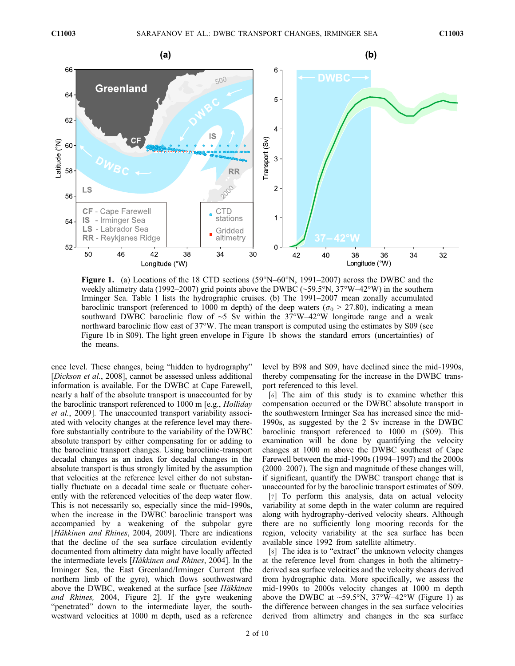

**Figure 1.** (a) Locations of the 18 CTD sections  $(59^{\circ}N-60^{\circ}N, 1991-2007)$  across the DWBC and the weekly altimetry data (1992–2007) grid points above the DWBC (∼59.5°N, 37°W–42°W) in the southern Irminger Sea. Table 1 lists the hydrographic cruises. (b) The 1991–2007 mean zonally accumulated baroclinic transport (referenced to 1000 m depth) of the deep waters ( $\sigma_0$  > 27.80), indicating a mean southward DWBC baroclinic flow of ∼5 Sv within the 37°W–42°W longitude range and a weak northward baroclinic flow east of 37°W. The mean transport is computed using the estimates by S09 (see Figure 1b in S09). The light green envelope in Figure 1b shows the standard errors (uncertainties) of the means.

ence level. These changes, being "hidden to hydrography" [Dickson et al., 2008], cannot be assessed unless additional information is available. For the DWBC at Cape Farewell, nearly a half of the absolute transport is unaccounted for by the baroclinic transport referenced to 1000 m [e.g., Holliday et al., 2009]. The unaccounted transport variability associated with velocity changes at the reference level may therefore substantially contribute to the variability of the DWBC absolute transport by either compensating for or adding to the baroclinic transport changes. Using baroclinic‐transport decadal changes as an index for decadal changes in the absolute transport is thus strongly limited by the assumption that velocities at the reference level either do not substantially fluctuate on a decadal time scale or fluctuate coherently with the referenced velocities of the deep water flow. This is not necessarily so, especially since the mid‐1990s, when the increase in the DWBC baroclinic transport was accompanied by a weakening of the subpolar gyre [Häkkinen and Rhines, 2004, 2009]. There are indications that the decline of the sea surface circulation evidently documented from altimetry data might have locally affected the intermediate levels [Häkkinen and Rhines, 2004]. In the Irminger Sea, the East Greenland/Irminger Current (the northern limb of the gyre), which flows southwestward above the DWBC, weakened at the surface [see Häkkinen and Rhines, 2004, Figure 2]. If the gyre weakening "penetrated" down to the intermediate layer, the southwestward velocities at 1000 m depth, used as a reference

level by B98 and S09, have declined since the mid‐1990s, thereby compensating for the increase in the DWBC transport referenced to this level.

[6] The aim of this study is to examine whether this compensation occurred or the DWBC absolute transport in the southwestern Irminger Sea has increased since the mid‐ 1990s, as suggested by the 2 Sv increase in the DWBC baroclinic transport referenced to 1000 m (S09). This examination will be done by quantifying the velocity changes at 1000 m above the DWBC southeast of Cape Farewell between the mid‐1990s (1994–1997) and the 2000s (2000–2007). The sign and magnitude of these changes will, if significant, quantify the DWBC transport change that is unaccounted for by the baroclinic transport estimates of S09.

[7] To perform this analysis, data on actual velocity variability at some depth in the water column are required along with hydrography‐derived velocity shears. Although there are no sufficiently long mooring records for the region, velocity variability at the sea surface has been available since 1992 from satellite altimetry.

[8] The idea is to "extract" the unknown velocity changes at the reference level from changes in both the altimetry‐ derived sea surface velocities and the velocity shears derived from hydrographic data. More specifically, we assess the mid‐1990s to 2000s velocity changes at 1000 m depth above the DWBC at ∼59.5°N, 37°W–42°W (Figure 1) as the difference between changes in the sea surface velocities derived from altimetry and changes in the sea surface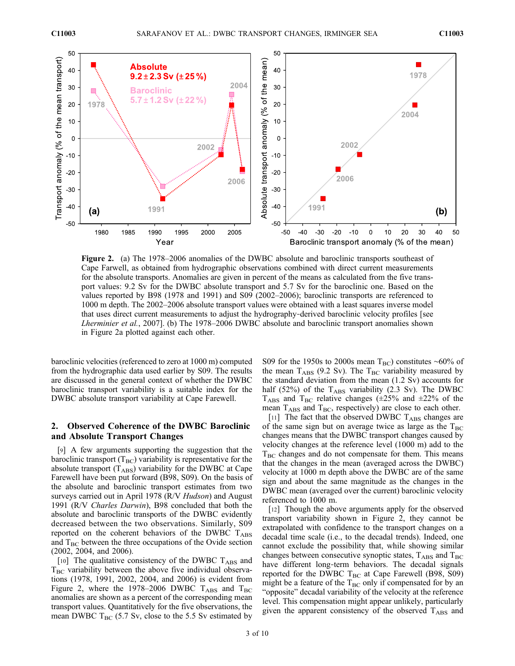

Figure 2. (a) The 1978–2006 anomalies of the DWBC absolute and baroclinic transports southeast of Cape Farwell, as obtained from hydrographic observations combined with direct current measurements for the absolute transports. Anomalies are given in percent of the means as calculated from the five transport values: 9.2 Sv for the DWBC absolute transport and 5.7 Sv for the baroclinic one. Based on the values reported by B98 (1978 and 1991) and S09 (2002–2006); baroclinic transports are referenced to 1000 m depth. The 2002–2006 absolute transport values were obtained with a least squares inverse model that uses direct current measurements to adjust the hydrography-derived baroclinic velocity profiles [see Lherminier et al., 2007]. (b) The 1978–2006 DWBC absolute and baroclinic transport anomalies shown in Figure 2a plotted against each other.

baroclinic velocities (referenced to zero at 1000 m) computed from the hydrographic data used earlier by S09. The results are discussed in the general context of whether the DWBC baroclinic transport variability is a suitable index for the DWBC absolute transport variability at Cape Farewell.

# 2. Observed Coherence of the DWBC Baroclinic and Absolute Transport Changes

[9] A few arguments supporting the suggestion that the baroclinic transport  $(T_{BC})$  variability is representative for the absolute transport  $(T_{\rm ABS})$  variability for the DWBC at Cape Farewell have been put forward (B98, S09). On the basis of the absolute and baroclinic transport estimates from two surveys carried out in April 1978 (R/V Hudson) and August 1991 (R/V Charles Darwin), B98 concluded that both the absolute and baroclinic transports of the DWBC evidently decreased between the two observations. Similarly, S09 reported on the coherent behaviors of the DWBC  $T_{\rm ABS}$ and  $T_{BC}$  between the three occupations of the Ovide section (2002, 2004, and 2006).

[10] The qualitative consistency of the DWBC  $T_{\rm ABS}$  and  $T<sub>BC</sub>$  variability between the above five individual observations (1978, 1991, 2002, 2004, and 2006) is evident from Figure 2, where the 1978–2006 DWBC  $T_{\text{ABS}}$  and  $T_{\text{BC}}$ anomalies are shown as a percent of the corresponding mean transport values. Quantitatively for the five observations, the mean DWBC  $T_{BC}$  (5.7 Sv, close to the 5.5 Sv estimated by

S09 for the 1950s to 2000s mean T<sub>BC</sub>) constitutes ~60% of the mean  $T_{\rm ABS}$  (9.2 Sv). The  $T_{\rm BC}$  variability measured by the standard deviation from the mean (1.2 Sv) accounts for half (52%) of the  $T_{\rm ABS}$  variability (2.3 Sv). The DWBC  $T_{\rm ABS}$  and  $T_{\rm BC}$  relative changes ( $\pm 25\%$  and  $\pm 22\%$  of the mean  $T_{\text{ABS}}$  and  $T_{\text{BC}}$ , respectively) are close to each other.

[11] The fact that the observed DWBC TABS changes are of the same sign but on average twice as large as the  $T_{BC}$ changes means that the DWBC transport changes caused by velocity changes at the reference level (1000 m) add to the  $T<sub>BC</sub>$  changes and do not compensate for them. This means that the changes in the mean (averaged across the DWBC) velocity at 1000 m depth above the DWBC are of the same sign and about the same magnitude as the changes in the DWBC mean (averaged over the current) baroclinic velocity referenced to 1000 m.

[12] Though the above arguments apply for the observed transport variability shown in Figure 2, they cannot be extrapolated with confidence to the transport changes on a decadal time scale (i.e., to the decadal trends). Indeed, one cannot exclude the possibility that, while showing similar changes between consecutive synoptic states,  $T_{\rm ABS}$  and  $T_{\rm BC}$ have different long-term behaviors. The decadal signals reported for the DWBC  $T_{BC}$  at Cape Farewell (B98, S09) might be a feature of the  $T_{BC}$  only if compensated for by an "opposite" decadal variability of the velocity at the reference level. This compensation might appear unlikely, particularly given the apparent consistency of the observed  $T_{\rm ABS}$  and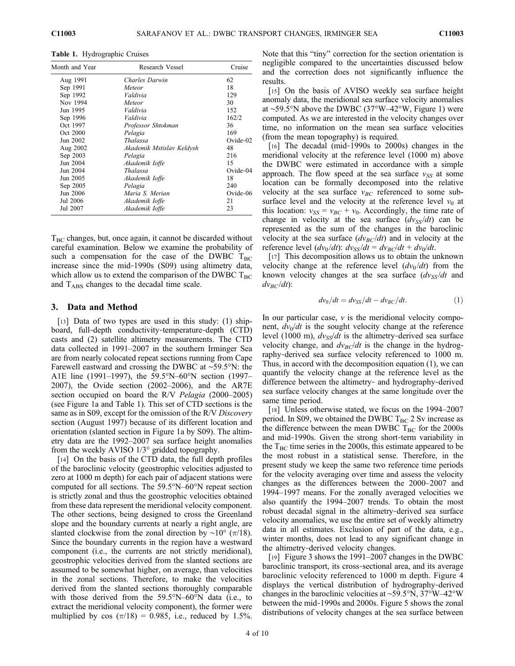Table 1. Hydrographic Cruises

| Month and Year | Research Vessel           | Cruise   |
|----------------|---------------------------|----------|
| Aug 1991       | Charles Darwin            | 62       |
| Sep 1991       | Meteor                    | 18       |
| Sep 1992       | Valdivia                  | 129      |
| Nov 1994       | Meteor                    | 30       |
| Jun 1995       | Valdivia                  | 152      |
| Sep 1996       | Valdivia                  | 162/2    |
| Oct 1997       | Professor Shtokman        | 36       |
| Oct 2000       | Pelagia                   | 169      |
| Jun 2002       | <b>Thalassa</b>           | Ovide-02 |
| Aug 2002       | Akademik Mstislav Keldysh | 48       |
| Sep 2003       | Pelagia                   | 216      |
| Jun 2004       | Akademik Ioffe            | 15       |
| Jun 2004       | Thalassa                  | Ovide-04 |
| Jun 2005       | Akademik Ioffe            | 18       |
| Sep 2005       | Pelagia                   | 240      |
| Jun 2006       | Maria S. Merian           | Ovide-06 |
| Jul 2006       | Akademik Ioffe            | 21       |
| Jul 2007       | Akademik Ioffe            | 23       |

 $T<sub>BC</sub>$  changes, but, once again, it cannot be discarded without careful examination. Below we examine the probability of such a compensation for the case of the DWBC  $T_{BC}$ increase since the mid‐1990s (S09) using altimetry data, which allow us to extend the comparison of the DWBC  $T_{BC}$ and  $T_{\rm ABS}$  changes to the decadal time scale.

## 3. Data and Method

[13] Data of two types are used in this study: (1) shipboard, full-depth conductivity-temperature-depth (CTD) casts and (2) satellite altimetry measurements. The CTD data collected in 1991–2007 in the southern Irminger Sea are from nearly colocated repeat sections running from Cape Farewell eastward and crossing the DWBC at ∼59.5°N: the A1E line (1991–1997), the 59.5°N–60°N section (1997– 2007), the Ovide section (2002–2006), and the AR7E section occupied on board the R/V *Pelagia* (2000–2005) (see Figure 1a and Table 1). This set of CTD sections is the same as in S09, except for the omission of the R/V Discovery section (August 1997) because of its different location and orientation (slanted section in Figure 1a by S09). The altimetry data are the 1992–2007 sea surface height anomalies from the weekly AVISO 1/3° gridded topography.

[14] On the basis of the CTD data, the full depth profiles of the baroclinic velocity (geostrophic velocities adjusted to zero at 1000 m depth) for each pair of adjacent stations were computed for all sections. The 59.5°N–60°N repeat section is strictly zonal and thus the geostrophic velocities obtained from these data represent the meridional velocity component. The other sections, being designed to cross the Greenland slope and the boundary currents at nearly a right angle, are slanted clockwise from the zonal direction by ~10° ( $\pi$ /18). Since the boundary currents in the region have a westward component (i.e., the currents are not strictly meridional), geostrophic velocities derived from the slanted sections are assumed to be somewhat higher, on average, than velocities in the zonal sections. Therefore, to make the velocities derived from the slanted sections thoroughly comparable with those derived from the 59.5°N–60°N data (i.e., to extract the meridional velocity component), the former were multiplied by cos  $(\pi/18) = 0.985$ , i.e., reduced by 1.5%.

Note that this "tiny" correction for the section orientation is negligible compared to the uncertainties discussed below and the correction does not significantly influence the results.

[15] On the basis of AVISO weekly sea surface height anomaly data, the meridional sea surface velocity anomalies at ∼59.5°N above the DWBC (37°W–42°W, Figure 1) were computed. As we are interested in the velocity changes over time, no information on the mean sea surface velocities (from the mean topography) is required.

[16] The decadal (mid-1990s to 2000s) changes in the meridional velocity at the reference level (1000 m) above the DWBC were estimated in accordance with a simple approach. The flow speed at the sea surface  $v_{SS}$  at some location can be formally decomposed into the relative velocity at the sea surface  $v_{BC}$  referenced to some subsurface level and the velocity at the reference level  $v_0$  at this location:  $v_{SS} = v_{BC} + v_0$ . Accordingly, the time rate of change in velocity at the sea surface  $\frac{dv_{SS}}{dt}$  can be represented as the sum of the changes in the baroclinic velocity at the sea surface  $(dv_{BC}/dt)$  and in velocity at the reference level  $\frac{dv_0}{dt}$ :  $\frac{dv_{SS}}{dt} = \frac{dv_{BC}}{dt} + \frac{dv_0}{dt}$ .

[17] This decomposition allows us to obtain the unknown velocity change at the reference level  $(dv_0/dt)$  from the known velocity changes at the sea surface  $\frac{dv_{SS}}{dt}$  and  $dv_{BC}/dt$ :

$$
dv_0/dt = dv_{SS}/dt - dv_{BC}/dt.
$$
 (1)

In our particular case,  $\nu$  is the meridional velocity component,  $dv_0/dt$  is the sought velocity change at the reference level (1000 m),  $dv_{SS}/dt$  is the altimetry-derived sea surface velocity change, and  $dv_{BC}/dt$  is the change in the hydrography-derived sea surface velocity referenced to 1000 m. Thus, in accord with the decomposition equation (1), we can quantify the velocity change at the reference level as the difference between the altimetry‐ and hydrography‐derived sea surface velocity changes at the same longitude over the same time period.

[18] Unless otherwise stated, we focus on the 1994–2007 period. In S09, we obtained the DWBC  $T_{BC}$  2 Sv increase as the difference between the mean DWBC  $T_{BC}$  for the 2000s and mid‐1990s. Given the strong short‐term variability in the  $T_{BC}$  time series in the 2000s, this estimate appeared to be the most robust in a statistical sense. Therefore, in the present study we keep the same two reference time periods for the velocity averaging over time and assess the velocity changes as the differences between the 2000–2007 and 1994–1997 means. For the zonally averaged velocities we also quantify the 1994–2007 trends. To obtain the most robust decadal signal in the altimetry‐derived sea surface velocity anomalies, we use the entire set of weekly altimetry data in all estimates. Exclusion of part of the data, e.g., winter months, does not lead to any significant change in the altimetry‐derived velocity changes.

[19] Figure 3 shows the 1991–2007 changes in the DWBC baroclinic transport, its cross‐sectional area, and its average baroclinic velocity referenced to 1000 m depth. Figure 4 displays the vertical distribution of hydrography‐derived changes in the baroclinic velocities at ∼59.5°N, 37°W–42°W between the mid‐1990s and 2000s. Figure 5 shows the zonal distributions of velocity changes at the sea surface between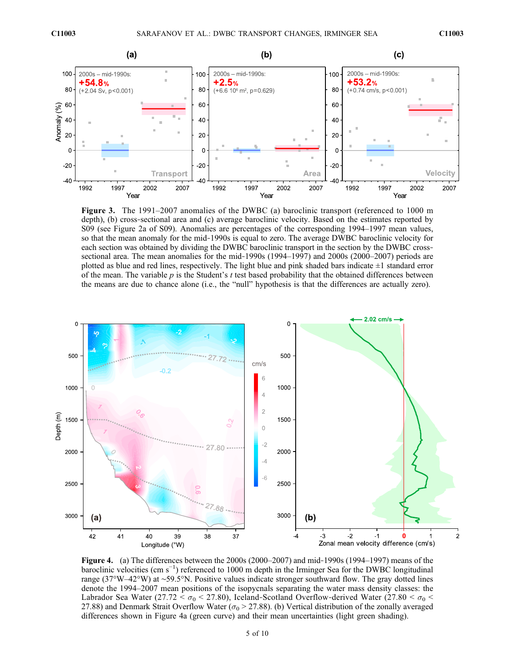

Figure 3. The 1991–2007 anomalies of the DWBC (a) baroclinic transport (referenced to 1000 m depth), (b) cross‐sectional area and (c) average baroclinic velocity. Based on the estimates reported by S09 (see Figure 2a of S09). Anomalies are percentages of the corresponding 1994–1997 mean values, so that the mean anomaly for the mid-1990s is equal to zero. The average DWBC baroclinic velocity for each section was obtained by dividing the DWBC baroclinic transport in the section by the DWBC crosssectional area. The mean anomalies for the mid-1990s (1994–1997) and 2000s (2000–2007) periods are plotted as blue and red lines, respectively. The light blue and pink shaded bars indicate  $\pm 1$  standard error of the mean. The variable p is the Student's t test based probability that the obtained differences between the means are due to chance alone (i.e., the "null" hypothesis is that the differences are actually zero).



Figure 4. (a) The differences between the 2000s (2000–2007) and mid-1990s (1994–1997) means of the baroclinic velocities (cm s−<sup>1</sup> ) referenced to 1000 m depth in the Irminger Sea for the DWBC longitudinal range (37°W–42°W) at ∼59.5°N. Positive values indicate stronger southward flow. The gray dotted lines denote the 1994–2007 mean positions of the isopycnals separating the water mass density classes: the Labrador Sea Water (27.72 <  $\sigma_0$  < 27.80), Iceland-Scotland Overflow-derived Water (27.80 <  $\sigma_0$  < 27.88) and Denmark Strait Overflow Water ( $\sigma_0$  > 27.88). (b) Vertical distribution of the zonally averaged differences shown in Figure 4a (green curve) and their mean uncertainties (light green shading).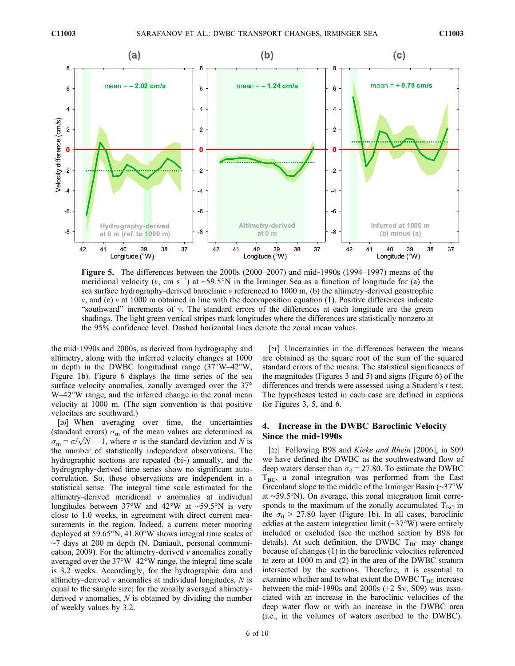

Figure 5. The differences between the 2000s (2000–2007) and mid‐1990s (1994–1997) means of the meridional velocity (v, cm s<sup>-1</sup>) at ~59.5°N in the Irminger Sea as a function of longitude for (a) the sea surface hydrography-derived baroclinic  $v$  referenced to 1000 m, (b) the altimetry-derived geostrophic  $v$ , and (c)  $v$  at 1000 m obtained in line with the decomposition equation (1). Positive differences indicate "southward" increments of  $v$ . The standard errors of the differences at each longitude are the green shadings. The light green vertical stripes mark longitudes where the differences are statistically nonzero at the 95% confidence level. Dashed horizontal lines denote the zonal mean values.

the mid‐1990s and 2000s, as derived from hydrography and altimetry, along with the inferred velocity changes at 1000 m depth in the DWBC longitudinal range (37°W–42°W, Figure 1b). Figure 6 displays the time series of the sea surface velocity anomalies, zonally averaged over the 37° W–42°W range, and the inferred change in the zonal mean velocity at 1000 m. (The sign convention is that positive velocities are southward.)

[20] When averaging over time, the uncertainties (standard errors)  $\sigma_{\rm m}$  of the mean values are determined as (standard errors)  $\sigma_{\rm m}$  of the mean values are determined as  $\sigma_{\rm m} = \sigma/\sqrt{N-1}$ , where  $\sigma$  is the standard deviation and N is the number of statistically independent observations. The hydrographic sections are repeated (bi‐) annually, and the hydrography-derived time series show no significant autocorrelation. So, those observations are independent in a statistical sense. The integral time scale estimated for the altimetry‐derived meridional v anomalies at individual longitudes between 37°W and 42°W at ∼59.5°N is very close to 1.0 weeks, in agreement with direct current measurements in the region. Indeed, a current meter mooring deployed at 59.65°N, 41.80°W shows integral time scales of ∼7 days at 200 m depth (N. Daniault, personal communication, 2009). For the altimetry-derived  $\nu$  anomalies zonally averaged over the 37°W–42°W range, the integral time scale is 3.2 weeks. Accordingly, for the hydrographic data and altimetry-derived  $v$  anomalies at individual longitudes,  $N$  is equal to the sample size; for the zonally averaged altimetry‐ derived  $\nu$  anomalies,  $N$  is obtained by dividing the number of weekly values by 3.2.

[21] Uncertainties in the differences between the means are obtained as the square root of the sum of the squared standard errors of the means. The statistical significances of the magnitudes (Figures 3 and 5) and signs (Figure 6) of the differences and trends were assessed using a Student's t test. The hypotheses tested in each case are defined in captions for Figures 3, 5, and 6.

# 4. Increase in the DWBC Baroclinic Velocity Since the mid‐1990s

[22] Following B98 and Kieke and Rhein [2006], in S09 we have defined the DWBC as the southwestward flow of deep waters denser than  $\sigma_0 = 27.80$ . To estimate the DWBC  $T_{BC}$ , a zonal integration was performed from the East Greenland slope to the middle of the Irminger Basin (∼37°W at ∼59.5°N). On average, this zonal integration limit corresponds to the maximum of the zonally accumulated  $T_{BC}$  in the  $\sigma_0$  > 27.80 layer (Figure 1b). In all cases, baroclinic eddies at the eastern integration limit (∼37°W) were entirely included or excluded (see the method section by B98 for details). At such definition, the DWBC  $T_{BC}$  may change because of changes (1) in the baroclinic velocities referenced to zero at 1000 m and (2) in the area of the DWBC stratum intersected by the sections. Therefore, it is essential to examine whether and to what extent the DWBC  $T_{BC}$  increase between the mid‐1990s and 2000s (+2 Sv, S09) was associated with an increase in the baroclinic velocities of the deep water flow or with an increase in the DWBC area (i.e., in the volumes of waters ascribed to the DWBC).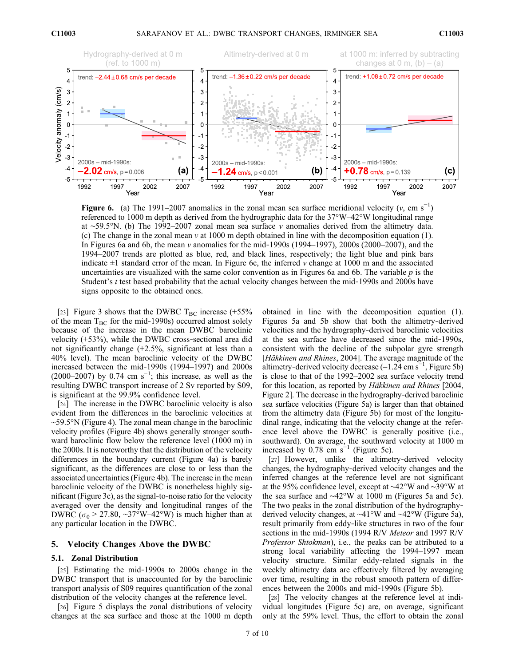

Figure 6. (a) The 1991–2007 anomalies in the zonal mean sea surface meridional velocity (v, cm s<sup>-1</sup>) referenced to 1000 m depth as derived from the hydrographic data for the 37°W–42°W longitudinal range at ∼59.5°N. (b) The 1992–2007 zonal mean sea surface v anomalies derived from the altimetry data. (c) The change in the zonal mean  $v$  at 1000 m depth obtained in line with the decomposition equation (1). In Figures 6a and 6b, the mean v anomalies for the mid-1990s (1994–1997), 2000s (2000–2007), and the 1994–2007 trends are plotted as blue, red, and black lines, respectively; the light blue and pink bars indicate  $\pm 1$  standard error of the mean. In Figure 6c, the inferred v change at 1000 m and the associated uncertainties are visualized with the same color convention as in Figures 6a and 6b. The variable  $p$  is the Student's t test based probability that the actual velocity changes between the mid-1990s and 2000s have signs opposite to the obtained ones.

[23] Figure 3 shows that the DWBC  $T_{BC}$  increase (+55%) of the mean  $T_{BC}$  for the mid-1990s) occurred almost solely because of the increase in the mean DWBC baroclinic velocity (+53%), while the DWBC cross‐sectional area did not significantly change (+2.5%, significant at less than a 40% level). The mean baroclinic velocity of the DWBC increased between the mid‐1990s (1994–1997) and 2000s  $(2000-2007)$  by 0.74 cm s<sup>-1</sup>; this increase, as well as the resulting DWBC transport increase of 2 Sv reported by S09, is significant at the 99.9% confidence level.

[24] The increase in the DWBC baroclinic velocity is also evident from the differences in the baroclinic velocities at ∼59.5°N (Figure 4). The zonal mean change in the baroclinic velocity profiles (Figure 4b) shows generally stronger southward baroclinic flow below the reference level (1000 m) in the 2000s. It is noteworthy that the distribution of the velocity differences in the boundary current (Figure 4a) is barely significant, as the differences are close to or less than the associated uncertainties (Figure 4b). The increase in the mean baroclinic velocity of the DWBC is nonetheless highly significant (Figure 3c), as the signal‐to‐noise ratio for the velocity averaged over the density and longitudinal ranges of the DWBC ( $\sigma_0$  > 27.80, ~37°W–42°W) is much higher than at any particular location in the DWBC.

#### 5. Velocity Changes Above the DWBC

#### 5.1. Zonal Distribution

[25] Estimating the mid-1990s to 2000s change in the DWBC transport that is unaccounted for by the baroclinic transport analysis of S09 requires quantification of the zonal distribution of the velocity changes at the reference level.

[26] Figure 5 displays the zonal distributions of velocity changes at the sea surface and those at the 1000 m depth obtained in line with the decomposition equation (1). Figures 5a and 5b show that both the altimetry‐derived velocities and the hydrography‐derived baroclinic velocities at the sea surface have decreased since the mid‐1990s, consistent with the decline of the subpolar gyre strength [Häkkinen and Rhines, 2004]. The average magnitude of the altimetry-derived velocity decrease  $(-1.24 \text{ cm s}^{-1}, \text{Figure 5b})$ is close to that of the 1992–2002 sea surface velocity trend for this location, as reported by Häkkinen and Rhines [2004, Figure 2]. The decrease in the hydrography‐derived baroclinic sea surface velocities (Figure 5a) is larger than that obtained from the altimetry data (Figure 5b) for most of the longitudinal range, indicating that the velocity change at the reference level above the DWBC is generally positive (i.e., southward). On average, the southward velocity at 1000 m increased by 0.78 cm  $s^{-1}$  (Figure 5c).

[27] However, unlike the altimetry-derived velocity changes, the hydrography‐derived velocity changes and the inferred changes at the reference level are not significant at the 95% confidence level, except at ∼42°W and ∼39°W at the sea surface and ∼42°W at 1000 m (Figures 5a and 5c). The two peaks in the zonal distribution of the hydrography‐ derived velocity changes, at ∼41°W and ∼42°W (Figure 5a), result primarily from eddy‐like structures in two of the four sections in the mid-1990s (1994 R/V Meteor and 1997 R/V Professor Shtokman), i.e., the peaks can be attributed to a strong local variability affecting the 1994–1997 mean velocity structure. Similar eddy‐related signals in the weekly altimetry data are effectively filtered by averaging over time, resulting in the robust smooth pattern of differences between the 2000s and mid‐1990s (Figure 5b).

[28] The velocity changes at the reference level at individual longitudes (Figure 5c) are, on average, significant only at the 59% level. Thus, the effort to obtain the zonal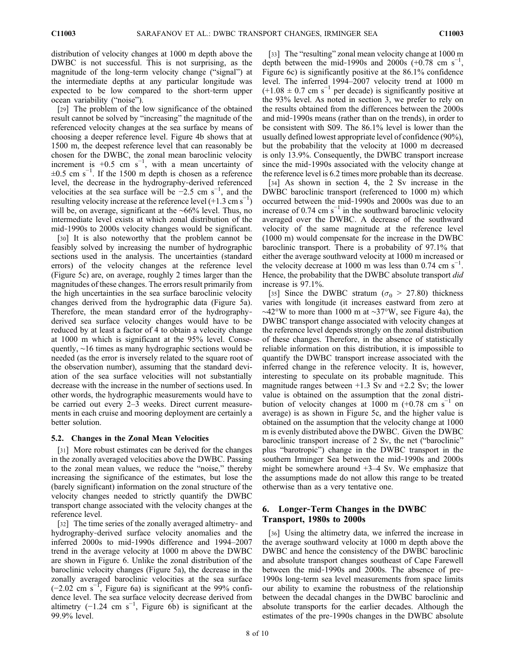distribution of velocity changes at 1000 m depth above the DWBC is not successful. This is not surprising, as the magnitude of the long-term velocity change ("signal") at the intermediate depths at any particular longitude was expected to be low compared to the short‐term upper ocean variability ("noise").

[29] The problem of the low significance of the obtained result cannot be solved by "increasing" the magnitude of the referenced velocity changes at the sea surface by means of choosing a deeper reference level. Figure 4b shows that at 1500 m, the deepest reference level that can reasonably be chosen for the DWBC, the zonal mean baroclinic velocity increment is +0.5 cm  $s^{-1}$ , with a mean uncertainty of  $\pm 0.5$  cm s<sup>-1</sup>. If the 1500 m depth is chosen as a reference level, the decrease in the hydrography‐derived referenced velocities at the sea surface will be  $-2.5$  cm s<sup>-1</sup>, and the resulting velocity increase at the reference level  $(+1.3 \text{ cm s}^{-1})$ will be, on average, significant at the ∼66% level. Thus, no intermediate level exists at which zonal distribution of the mid‐1990s to 2000s velocity changes would be significant.

[30] It is also noteworthy that the problem cannot be feasibly solved by increasing the number of hydrographic sections used in the analysis. The uncertainties (standard errors) of the velocity changes at the reference level (Figure 5c) are, on average, roughly 2 times larger than the magnitudes of these changes. The errors result primarily from the high uncertainties in the sea surface baroclinic velocity changes derived from the hydrographic data (Figure 5a). Therefore, the mean standard error of the hydrography‐ derived sea surface velocity changes would have to be reduced by at least a factor of 4 to obtain a velocity change at 1000 m which is significant at the 95% level. Consequently, ∼16 times as many hydrographic sections would be needed (as the error is inversely related to the square root of the observation number), assuming that the standard deviation of the sea surface velocities will not substantially decrease with the increase in the number of sections used. In other words, the hydrographic measurements would have to be carried out every 2–3 weeks. Direct current measurements in each cruise and mooring deployment are certainly a better solution.

## 5.2. Changes in the Zonal Mean Velocities

[31] More robust estimates can be derived for the changes in the zonally averaged velocities above the DWBC. Passing to the zonal mean values, we reduce the "noise," thereby increasing the significance of the estimates, but lose the (barely significant) information on the zonal structure of the velocity changes needed to strictly quantify the DWBC transport change associated with the velocity changes at the reference level.

[32] The time series of the zonally averaged altimetry- and hydrography‐derived surface velocity anomalies and the inferred 2000s to mid‐1990s difference and 1994–2007 trend in the average velocity at 1000 m above the DWBC are shown in Figure 6. Unlike the zonal distribution of the baroclinic velocity changes (Figure 5a), the decrease in the zonally averaged baroclinic velocities at the sea surface  $(-2.02 \text{ cm s}^{-1})$ , Figure 6a) is significant at the 99% confidence level. The sea surface velocity decrease derived from altimetry  $(-1.24 \text{ cm s}^{-1}$ , Figure 6b) is significant at the 99.9% level.

6. Longer‐Term Changes in the DWBC Transport, 1980s to 2000s

[36] Using the altimetry data, we inferred the increase in the average southward velocity at 1000 m depth above the DWBC and hence the consistency of the DWBC baroclinic and absolute transport changes southeast of Cape Farewell between the mid‐1990s and 2000s. The absence of pre‐ 1990s long‐term sea level measurements from space limits our ability to examine the robustness of the relationship between the decadal changes in the DWBC baroclinic and absolute transports for the earlier decades. Although the estimates of the pre‐1990s changes in the DWBC absolute

[33] The "resulting" zonal mean velocity change at 1000 m depth between the mid-1990s and 2000s  $(+0.78 \text{ cm s}^{-1})$ , Figure 6c) is significantly positive at the 86.1% confidence level. The inferred 1994–2007 velocity trend at 1000 m  $(+1.08 \pm 0.7 \text{ cm s}^{-1})$  per decade) is significantly positive at the 93% level. As noted in section 3, we prefer to rely on the results obtained from the differences between the 2000s and mid‐1990s means (rather than on the trends), in order to be consistent with S09. The 86.1% level is lower than the usually defined lowest appropriate level of confidence (90%), but the probability that the velocity at 1000 m decreased is only 13.9%. Consequently, the DWBC transport increase since the mid-1990s associated with the velocity change at the reference level is 6.2 times more probable than its decrease.

[34] As shown in section 4, the 2 Sv increase in the DWBC baroclinic transport (referenced to 1000 m) which occurred between the mid‐1990s and 2000s was due to an increase of 0.74 cm  $s^{-1}$  in the southward baroclinic velocity averaged over the DWBC. A decrease of the southward velocity of the same magnitude at the reference level (1000 m) would compensate for the increase in the DWBC baroclinic transport. There is a probability of 97.1% that either the average southward velocity at 1000 m increased or the velocity decrease at 1000 m was less than  $0.74 \text{ cm s}^{-1}$ . Hence, the probability that the DWBC absolute transport *did* increase is 97.1%.

[35] Since the DWBC stratum ( $\sigma_0 > 27.80$ ) thickness varies with longitude (it increases eastward from zero at ∼42°W to more than 1000 m at ∼37°W, see Figure 4a), the DWBC transport change associated with velocity changes at the reference level depends strongly on the zonal distribution of these changes. Therefore, in the absence of statistically reliable information on this distribution, it is impossible to quantify the DWBC transport increase associated with the inferred change in the reference velocity. It is, however, interesting to speculate on its probable magnitude. This magnitude ranges between  $+1.3$  Sv and  $+2.2$  Sv; the lower value is obtained on the assumption that the zonal distribution of velocity changes at 1000 m  $(+0.78 \text{ cm s}^{-1}$  on average) is as shown in Figure 5c, and the higher value is obtained on the assumption that the velocity change at 1000 m is evenly distributed above the DWBC. Given the DWBC baroclinic transport increase of 2 Sv, the net ("baroclinic" plus "barotropic") change in the DWBC transport in the southern Irminger Sea between the mid-1990s and 2000s might be somewhere around +3–4 Sv. We emphasize that the assumptions made do not allow this range to be treated otherwise than as a very tentative one.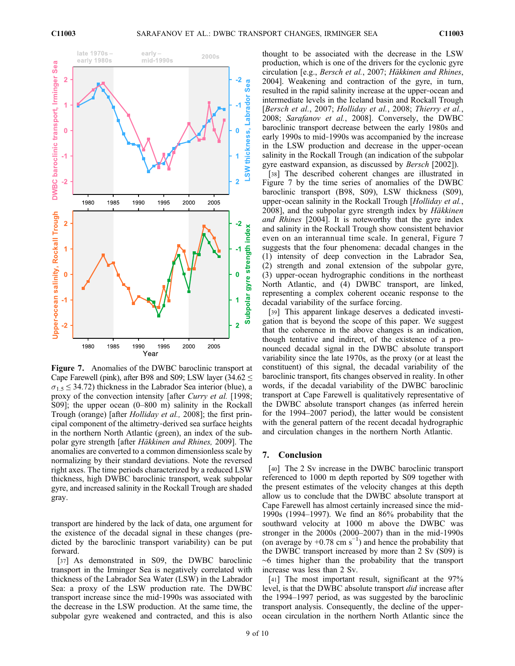

Figure 7. Anomalies of the DWBC baroclinic transport at Cape Farewell (pink), after B98 and S09; LSW layer (34.62  $\leq$  $\sigma_1$ ,  $\leq$  34.72) thickness in the Labrador Sea interior (blue), a proxy of the convection intensity [after Curry et al. [1998; S09]; the upper ocean (0–800 m) salinity in the Rockall Trough (orange) [after Holliday et al., 2008]; the first principal component of the altimetry‐derived sea surface heights in the northern North Atlantic (green), an index of the subpolar gyre strength [after Häkkinen and Rhines, 2009]. The anomalies are converted to a common dimensionless scale by normalizing by their standard deviations. Note the reversed right axes. The time periods characterized by a reduced LSW thickness, high DWBC baroclinic transport, weak subpolar gyre, and increased salinity in the Rockall Trough are shaded gray.

transport are hindered by the lack of data, one argument for the existence of the decadal signal in these changes (predicted by the baroclinic transport variability) can be put forward.

[37] As demonstrated in S09, the DWBC baroclinic transport in the Irminger Sea is negatively correlated with thickness of the Labrador Sea Water (LSW) in the Labrador Sea: a proxy of the LSW production rate. The DWBC transport increase since the mid‐1990s was associated with the decrease in the LSW production. At the same time, the subpolar gyre weakened and contracted, and this is also

thought to be associated with the decrease in the LSW production, which is one of the drivers for the cyclonic gyre circulation [e.g., Bersch et al., 2007; Häkkinen and Rhines, 2004]. Weakening and contraction of the gyre, in turn, resulted in the rapid salinity increase at the upper‐ocean and intermediate levels in the Iceland basin and Rockall Trough [Bersch et al., 2007; Holliday et al., 2008; Thierry et al., 2008; Sarafanov et al., 2008]. Conversely, the DWBC baroclinic transport decrease between the early 1980s and early 1990s to mid‐1990s was accompanied by the increase in the LSW production and decrease in the upper‐ocean salinity in the Rockall Trough (an indication of the subpolar gyre eastward expansion, as discussed by Bersch [2002]).

[38] The described coherent changes are illustrated in Figure 7 by the time series of anomalies of the DWBC baroclinic transport (B98, S09), LSW thickness (S09), upper-ocean salinity in the Rockall Trough [Holliday et al., 2008], and the subpolar gyre strength index by Häkkinen and Rhines [2004]. It is noteworthy that the gyre index and salinity in the Rockall Trough show consistent behavior even on an interannual time scale. In general, Figure 7 suggests that the four phenomena: decadal changes in the (1) intensity of deep convection in the Labrador Sea, (2) strength and zonal extension of the subpolar gyre, (3) upper‐ocean hydrographic conditions in the northeast North Atlantic, and (4) DWBC transport, are linked, representing a complex coherent oceanic response to the decadal variability of the surface forcing.

[39] This apparent linkage deserves a dedicated investigation that is beyond the scope of this paper. We suggest that the coherence in the above changes is an indication, though tentative and indirect, of the existence of a pronounced decadal signal in the DWBC absolute transport variability since the late 1970s, as the proxy (or at least the constituent) of this signal, the decadal variability of the baroclinic transport, fits changes observed in reality. In other words, if the decadal variability of the DWBC baroclinic transport at Cape Farewell is qualitatively representative of the DWBC absolute transport changes (as inferred herein for the 1994–2007 period), the latter would be consistent with the general pattern of the recent decadal hydrographic and circulation changes in the northern North Atlantic.

#### 7. Conclusion

[40] The 2 Sv increase in the DWBC baroclinic transport referenced to 1000 m depth reported by S09 together with the present estimates of the velocity changes at this depth allow us to conclude that the DWBC absolute transport at Cape Farewell has almost certainly increased since the mid‐ 1990s (1994–1997). We find an 86% probability that the southward velocity at 1000 m above the DWBC was stronger in the 2000s (2000–2007) than in the mid‐1990s (on average by +0.78 cm s<sup>-1</sup>) and hence the probability that the DWBC transport increased by more than 2 Sv (S09) is ∼6 times higher than the probability that the transport increase was less than 2 Sv.

[41] The most important result, significant at the 97% level, is that the DWBC absolute transport did increase after the 1994–1997 period, as was suggested by the baroclinic transport analysis. Consequently, the decline of the upper‐ ocean circulation in the northern North Atlantic since the